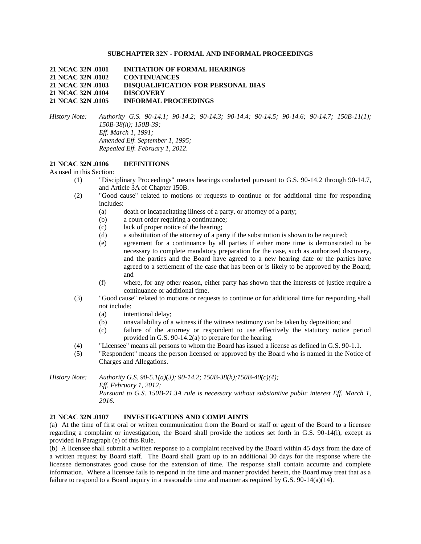### **SUBCHAPTER 32N - FORMAL AND INFORMAL PROCEEDINGS**

**21 NCAC 32N .0101 INITIATION OF FORMAL HEARINGS 21 NCAC 32N .0102 CONTINUANCES 21 NCAC 32N .0103 DISQUALIFICATION FOR PERSONAL BIAS 21 NCAC 32N .0104 DISCOVERY 21 NCAC 32N .0105 INFORMAL PROCEEDINGS**

*History Note: Authority G.S. 90-14.1; 90-14.2; 90-14.3; 90-14.4; 90-14.5; 90-14.6; 90-14.7; 150B-11(1); 150B-38(h); 150B-39; Eff. March 1, 1991; Amended Eff. September 1, 1995; Repealed Eff. February 1, 2012.*

# **21 NCAC 32N .0106 DEFINITIONS**

As used in this Section:

- (1) "Disciplinary Proceedings" means hearings conducted pursuant to G.S. 90-14.2 through 90-14.7, and Article 3A of Chapter 150B.
- (2) "Good cause" related to motions or requests to continue or for additional time for responding includes:
	- (a) death or incapacitating illness of a party, or attorney of a party;
	- (b) a court order requiring a continuance;
	- (c) lack of proper notice of the hearing;
	- (d) a substitution of the attorney of a party if the substitution is shown to be required;
	- (e) agreement for a continuance by all parties if either more time is demonstrated to be necessary to complete mandatory preparation for the case, such as authorized discovery, and the parties and the Board have agreed to a new hearing date or the parties have agreed to a settlement of the case that has been or is likely to be approved by the Board; and
	- (f) where, for any other reason, either party has shown that the interests of justice require a continuance or additional time.
- (3) "Good cause" related to motions or requests to continue or for additional time for responding shall not include:
	- (a) intentional delay;
	- (b) unavailability of a witness if the witness testimony can be taken by deposition; and
	- (c) failure of the attorney or respondent to use effectively the statutory notice period provided in G.S. 90-14.2(a) to prepare for the hearing.
- (4) "Licensee" means all persons to whom the Board has issued a license as defined in G.S. 90-1.1.
- (5) "Respondent" means the person licensed or approved by the Board who is named in the Notice of Charges and Allegations.

*History Note: Authority G.S. 90-5.1(a)(3); 90-14.2; 150B-38(h);150B-40(c)(4); Eff. February 1, 2012; Pursuant to G.S. 150B-21.3A rule is necessary without substantive public interest Eff. March 1, 2016.*

#### **21 NCAC 32N .0107 INVESTIGATIONS AND COMPLAINTS**

(a) At the time of first oral or written communication from the Board or staff or agent of the Board to a licensee regarding a complaint or investigation, the Board shall provide the notices set forth in G.S. 90-14(i), except as provided in Paragraph (e) of this Rule.

(b) A licensee shall submit a written response to a complaint received by the Board within 45 days from the date of a written request by Board staff. The Board shall grant up to an additional 30 days for the response where the licensee demonstrates good cause for the extension of time. The response shall contain accurate and complete information. Where a licensee fails to respond in the time and manner provided herein, the Board may treat that as a failure to respond to a Board inquiry in a reasonable time and manner as required by G.S. 90-14(a)(14).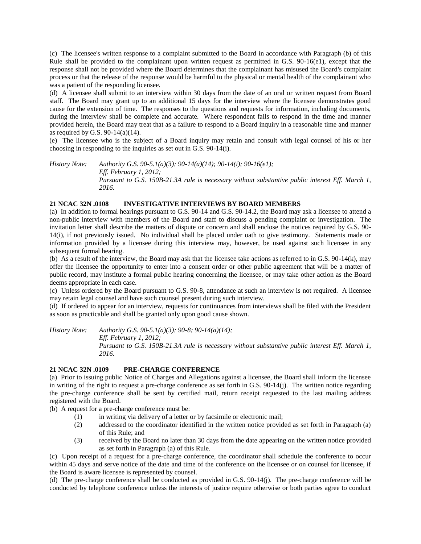(c) The licensee's written response to a complaint submitted to the Board in accordance with Paragraph (b) of this Rule shall be provided to the complainant upon written request as permitted in G.S. 90-16(e1), except that the response shall not be provided where the Board determines that the complainant has misused the Board's complaint process or that the release of the response would be harmful to the physical or mental health of the complainant who was a patient of the responding licensee.

(d) A licensee shall submit to an interview within 30 days from the date of an oral or written request from Board staff. The Board may grant up to an additional 15 days for the interview where the licensee demonstrates good cause for the extension of time. The responses to the questions and requests for information, including documents, during the interview shall be complete and accurate. Where respondent fails to respond in the time and manner provided herein, the Board may treat that as a failure to respond to a Board inquiry in a reasonable time and manner as required by G.S. 90-14(a)(14).

(e) The licensee who is the subject of a Board inquiry may retain and consult with legal counsel of his or her choosing in responding to the inquiries as set out in G.S. 90-14(i).

*History Note: Authority G.S. 90-5.1(a)(3); 90-14(a)(14); 90-14(i); 90-16(e1); Eff. February 1, 2012; Pursuant to G.S. 150B-21.3A rule is necessary without substantive public interest Eff. March 1, 2016.*

### **21 NCAC 32N .0108 INVESTIGATIVE INTERVIEWS BY BOARD MEMBERS**

(a) In addition to formal hearings pursuant to G.S. 90-14 and G.S. 90-14.2, the Board may ask a licensee to attend a non-public interview with members of the Board and staff to discuss a pending complaint or investigation. The invitation letter shall describe the matters of dispute or concern and shall enclose the notices required by G.S. 90- 14(i), if not previously issued. No individual shall be placed under oath to give testimony. Statements made or information provided by a licensee during this interview may, however, be used against such licensee in any subsequent formal hearing.

(b) As a result of the interview, the Board may ask that the licensee take actions as referred to in G.S. 90-14(k), may offer the licensee the opportunity to enter into a consent order or other public agreement that will be a matter of public record, may institute a formal public hearing concerning the licensee, or may take other action as the Board deems appropriate in each case.

(c) Unless ordered by the Board pursuant to G.S. 90-8, attendance at such an interview is not required. A licensee may retain legal counsel and have such counsel present during such interview.

(d) If ordered to appear for an interview, requests for continuances from interviews shall be filed with the President as soon as practicable and shall be granted only upon good cause shown.

*History Note: Authority G.S. 90-5.1(a)(3); 90-8; 90-14(a)(14);*

*Eff. February 1, 2012;*

*Pursuant to G.S. 150B-21.3A rule is necessary without substantive public interest Eff. March 1, 2016.*

# **21 NCAC 32N .0109 PRE-CHARGE CONFERENCE**

(a) Prior to issuing public Notice of Charges and Allegations against a licensee, the Board shall inform the licensee in writing of the right to request a pre-charge conference as set forth in G.S. 90-14(j). The written notice regarding the pre-charge conference shall be sent by certified mail, return receipt requested to the last mailing address registered with the Board.

(b) A request for a pre-charge conference must be:

- (1) in writing via delivery of a letter or by facsimile or electronic mail;
- (2) addressed to the coordinator identified in the written notice provided as set forth in Paragraph (a) of this Rule; and
- (3) received by the Board no later than 30 days from the date appearing on the written notice provided as set forth in Paragraph (a) of this Rule.

(c) Upon receipt of a request for a pre-charge conference, the coordinator shall schedule the conference to occur within 45 days and serve notice of the date and time of the conference on the licensee or on counsel for licensee, if the Board is aware licensee is represented by counsel.

(d) The pre-charge conference shall be conducted as provided in G.S. 90-14(j). The pre-charge conference will be conducted by telephone conference unless the interests of justice require otherwise or both parties agree to conduct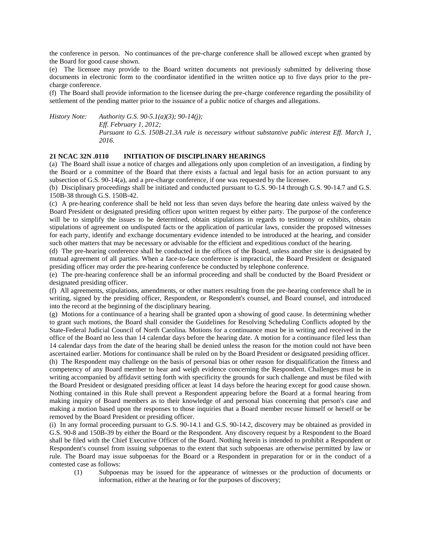the conference in person. No continuances of the pre-charge conference shall be allowed except when granted by the Board for good cause shown.

(e) The licensee may provide to the Board written documents not previously submitted by delivering those documents in electronic form to the coordinator identified in the written notice up to five days prior to the precharge conference.

(f) The Board shall provide information to the licensee during the pre-charge conference regarding the possibility of settlement of the pending matter prior to the issuance of a public notice of charges and allegations.

*History Note: Authority G.S. 90-5.1(a)(3); 90-14(j); Eff. February 1, 2012; Pursuant to G.S. 150B-21.3A rule is necessary without substantive public interest Eff. March 1, 2016.*

### **21 NCAC 32N .0110 INITIATION OF DISCIPLINARY HEARINGS**

(a) The Board shall issue a notice of charges and allegations only upon completion of an investigation, a finding by the Board or a committee of the Board that there exists a factual and legal basis for an action pursuant to any subsection of G.S. 90-14(a), and a pre-charge conference, if one was requested by the licensee.

(b) Disciplinary proceedings shall be initiated and conducted pursuant to G.S. 90-14 through G.S. 90-14.7 and G.S. 150B-38 through G.S. 150B-42.

(c) A pre-hearing conference shall be held not less than seven days before the hearing date unless waived by the Board President or designated presiding officer upon written request by either party. The purpose of the conference will be to simplify the issues to be determined, obtain stipulations in regards to testimony or exhibits, obtain stipulations of agreement on undisputed facts or the application of particular laws, consider the proposed witnesses for each party, identify and exchange documentary evidence intended to be introduced at the hearing, and consider such other matters that may be necessary or advisable for the efficient and expeditious conduct of the hearing.

(d) The pre-hearing conference shall be conducted in the offices of the Board, unless another site is designated by mutual agreement of all parties. When a face-to-face conference is impractical, the Board President or designated presiding officer may order the pre-hearing conference be conducted by telephone conference.

(e) The pre-hearing conference shall be an informal proceeding and shall be conducted by the Board President or designated presiding officer.

(f) All agreements, stipulations, amendments, or other matters resulting from the pre-hearing conference shall be in writing, signed by the presiding officer, Respondent, or Respondent's counsel, and Board counsel, and introduced into the record at the beginning of the disciplinary hearing.

(g) Motions for a continuance of a hearing shall be granted upon a showing of good cause. In determining whether to grant such motions, the Board shall consider the Guidelines for Resolving Scheduling Conflicts adopted by the State-Federal Judicial Council of North Carolina. Motions for a continuance must be in writing and received in the office of the Board no less than 14 calendar days before the hearing date. A motion for a continuance filed less than 14 calendar days from the date of the hearing shall be denied unless the reason for the motion could not have been ascertained earlier. Motions for continuance shall be ruled on by the Board President or designated presiding officer.

(h) The Respondent may challenge on the basis of personal bias or other reason for disqualification the fitness and competency of any Board member to hear and weigh evidence concerning the Respondent. Challenges must be in writing accompanied by affidavit setting forth with specificity the grounds for such challenge and must be filed with the Board President or designated presiding officer at least 14 days before the hearing except for good cause shown. Nothing contained in this Rule shall prevent a Respondent appearing before the Board at a formal hearing from making inquiry of Board members as to their knowledge of and personal bias concerning that person's case and making a motion based upon the responses to those inquiries that a Board member recuse himself or herself or be removed by the Board President or presiding officer.

(i) In any formal proceeding pursuant to G.S. 90-14.1 and G.S. 90-14.2, discovery may be obtained as provided in G.S. 90-8 and 150B-39 by either the Board or the Respondent. Any discovery request by a Respondent to the Board shall be filed with the Chief Executive Officer of the Board. Nothing herein is intended to prohibit a Respondent or Respondent's counsel from issuing subpoenas to the extent that such subpoenas are otherwise permitted by law or rule. The Board may issue subpoenas for the Board or a Respondent in preparation for or in the conduct of a contested case as follows:

(1) Subpoenas may be issued for the appearance of witnesses or the production of documents or information, either at the hearing or for the purposes of discovery;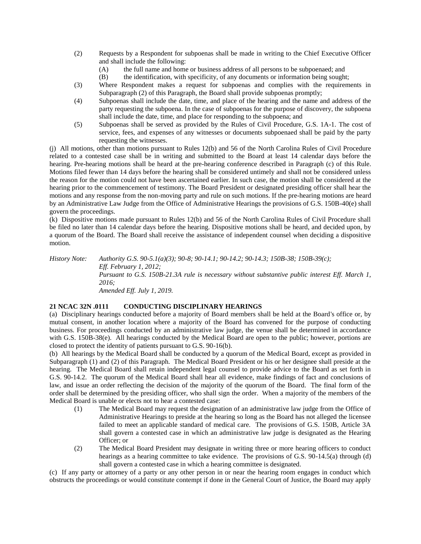- (2) Requests by a Respondent for subpoenas shall be made in writing to the Chief Executive Officer and shall include the following:
	- (A) the full name and home or business address of all persons to be subpoenaed; and
	- (B) the identification, with specificity, of any documents or information being sought;
- (3) Where Respondent makes a request for subpoenas and complies with the requirements in Subparagraph (2) of this Paragraph, the Board shall provide subpoenas promptly;
- (4) Subpoenas shall include the date, time, and place of the hearing and the name and address of the party requesting the subpoena. In the case of subpoenas for the purpose of discovery, the subpoena shall include the date, time, and place for responding to the subpoena; and
- (5) Subpoenas shall be served as provided by the Rules of Civil Procedure, G.S. 1A-1. The cost of service, fees, and expenses of any witnesses or documents subpoenaed shall be paid by the party requesting the witnesses.

(j) All motions, other than motions pursuant to Rules 12(b) and 56 of the North Carolina Rules of Civil Procedure related to a contested case shall be in writing and submitted to the Board at least 14 calendar days before the hearing. Pre-hearing motions shall be heard at the pre-hearing conference described in Paragraph (c) of this Rule. Motions filed fewer than 14 days before the hearing shall be considered untimely and shall not be considered unless the reason for the motion could not have been ascertained earlier. In such case, the motion shall be considered at the hearing prior to the commencement of testimony. The Board President or designated presiding officer shall hear the motions and any response from the non-moving party and rule on such motions. If the pre-hearing motions are heard by an Administrative Law Judge from the Office of Administrative Hearings the provisions of G.S. 150B-40(e) shall govern the proceedings.

(k) Dispositive motions made pursuant to Rules 12(b) and 56 of the North Carolina Rules of Civil Procedure shall be filed no later than 14 calendar days before the hearing. Dispositive motions shall be heard, and decided upon, by a quorum of the Board. The Board shall receive the assistance of independent counsel when deciding a dispositive motion.

*History Note: Authority G.S. 90-5.1(a)(3); 90-8; 90-14.1; 90-14.2; 90-14.3; 150B-38; 150B-39(c); Eff. February 1, 2012; Pursuant to G.S. 150B-21.3A rule is necessary without substantive public interest Eff. March 1, 2016; Amended Eff. July 1, 2019.*

# **21 NCAC 32N .0111 CONDUCTING DISCIPLINARY HEARINGS**

(a) Disciplinary hearings conducted before a majority of Board members shall be held at the Board's office or, by mutual consent, in another location where a majority of the Board has convened for the purpose of conducting business. For proceedings conducted by an administrative law judge, the venue shall be determined in accordance with G.S. 150B-38(e). All hearings conducted by the Medical Board are open to the public; however, portions are closed to protect the identity of patients pursuant to G.S. 90-16(b).

(b) All hearings by the Medical Board shall be conducted by a quorum of the Medical Board, except as provided in Subparagraph (1) and (2) of this Paragraph. The Medical Board President or his or her designee shall preside at the hearing. The Medical Board shall retain independent legal counsel to provide advice to the Board as set forth in G.S. 90-14.2. The quorum of the Medical Board shall hear all evidence, make findings of fact and conclusions of law, and issue an order reflecting the decision of the majority of the quorum of the Board. The final form of the order shall be determined by the presiding officer, who shall sign the order. When a majority of the members of the Medical Board is unable or elects not to hear a contested case:

- (1) The Medical Board may request the designation of an administrative law judge from the Office of Administrative Hearings to preside at the hearing so long as the Board has not alleged the licensee failed to meet an applicable standard of medical care. The provisions of G.S. 150B, Article 3A shall govern a contested case in which an administrative law judge is designated as the Hearing Officer; or
- (2) The Medical Board President may designate in writing three or more hearing officers to conduct hearings as a hearing committee to take evidence. The provisions of G.S. 90-14.5(a) through (d) shall govern a contested case in which a hearing committee is designated.

(c) If any party or attorney of a party or any other person in or near the hearing room engages in conduct which obstructs the proceedings or would constitute contempt if done in the General Court of Justice, the Board may apply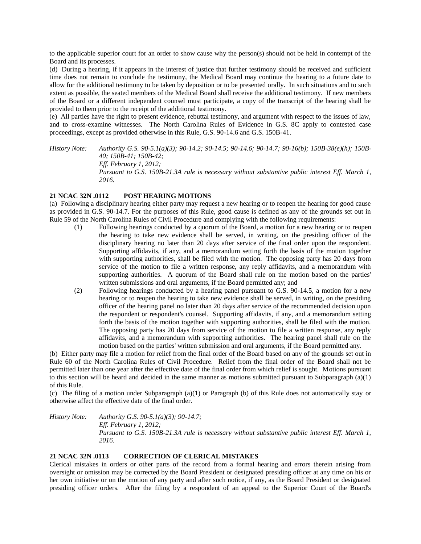to the applicable superior court for an order to show cause why the person(s) should not be held in contempt of the Board and its processes.

(d) During a hearing, if it appears in the interest of justice that further testimony should be received and sufficient time does not remain to conclude the testimony, the Medical Board may continue the hearing to a future date to allow for the additional testimony to be taken by deposition or to be presented orally. In such situations and to such extent as possible, the seated members of the Medical Board shall receive the additional testimony. If new members of the Board or a different independent counsel must participate, a copy of the transcript of the hearing shall be provided to them prior to the receipt of the additional testimony.

(e) All parties have the right to present evidence, rebuttal testimony, and argument with respect to the issues of law, and to cross-examine witnesses. The North Carolina Rules of Evidence in G.S. 8C apply to contested case proceedings, except as provided otherwise in this Rule, G.S. 90-14.6 and G.S. 150B-41.

*History Note: Authority G.S. 90-5.1(a)(3); 90-14.2; 90-14.5; 90-14.6; 90-14.7; 90-16(b); 150B-38(e)(h); 150B-40; 150B-41; 150B-42; Eff. February 1, 2012; Pursuant to G.S. 150B-21.3A rule is necessary without substantive public interest Eff. March 1, 2016.*

# **21 NCAC 32N .0112 POST HEARING MOTIONS**

(a) Following a disciplinary hearing either party may request a new hearing or to reopen the hearing for good cause as provided in G.S. 90-14.7. For the purposes of this Rule, good cause is defined as any of the grounds set out in Rule 59 of the North Carolina Rules of Civil Procedure and complying with the following requirements:

- (1) Following hearings conducted by a quorum of the Board, a motion for a new hearing or to reopen the hearing to take new evidence shall be served, in writing, on the presiding officer of the disciplinary hearing no later than 20 days after service of the final order upon the respondent. Supporting affidavits, if any, and a memorandum setting forth the basis of the motion together with supporting authorities, shall be filed with the motion. The opposing party has 20 days from service of the motion to file a written response, any reply affidavits, and a memorandum with supporting authorities. A quorum of the Board shall rule on the motion based on the parties' written submissions and oral arguments, if the Board permitted any; and
- (2) Following hearings conducted by a hearing panel pursuant to G.S. 90-14.5, a motion for a new hearing or to reopen the hearing to take new evidence shall be served, in writing, on the presiding officer of the hearing panel no later than 20 days after service of the recommended decision upon the respondent or respondent's counsel. Supporting affidavits, if any, and a memorandum setting forth the basis of the motion together with supporting authorities, shall be filed with the motion. The opposing party has 20 days from service of the motion to file a written response, any reply affidavits, and a memorandum with supporting authorities. The hearing panel shall rule on the motion based on the parties' written submission and oral arguments, if the Board permitted any.

(b) Either party may file a motion for relief from the final order of the Board based on any of the grounds set out in Rule 60 of the North Carolina Rules of Civil Procedure. Relief from the final order of the Board shall not be permitted later than one year after the effective date of the final order from which relief is sought. Motions pursuant to this section will be heard and decided in the same manner as motions submitted pursuant to Subparagraph  $(a)(1)$ of this Rule.

(c) The filing of a motion under Subparagraph (a)(1) or Paragraph (b) of this Rule does not automatically stay or otherwise affect the effective date of the final order.

*History Note: Authority G.S. 90-5.1(a)(3); 90-14.7; Eff. February 1, 2012; Pursuant to G.S. 150B-21.3A rule is necessary without substantive public interest Eff. March 1, 2016.*

### **21 NCAC 32N .0113 CORRECTION OF CLERICAL MISTAKES**

Clerical mistakes in orders or other parts of the record from a formal hearing and errors therein arising from oversight or omission may be corrected by the Board President or designated presiding officer at any time on his or her own initiative or on the motion of any party and after such notice, if any, as the Board President or designated presiding officer orders. After the filing by a respondent of an appeal to the Superior Court of the Board's